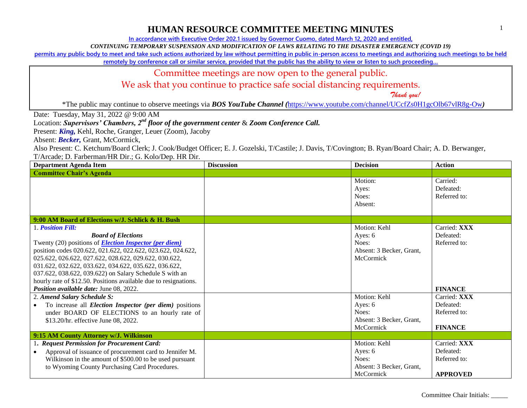**In accordance with Executive Order 202.1 issued by Governor Cuomo, dated March 12, 2020 and entitled,**

*CONTINUING TEMPORARY SUSPENSION AND MODIFICATION OF LAWS RELATING TO THE DISASTER EMERGENCY (COVID 19)*

**permits any public body to meet and take such actions authorized by law without permitting in public in-person access to meetings and authorizing such meetings to be held** 

remotely by conference call or similar service, provided that the public has the ability to view or listen to such proceeding...

Committee meetings are now open to the general public.

We ask that you continue to practice safe social distancing requirements.

 *Thank you!*

\*The public may continue to observe meetings via *BOS YouTube Channel (*<https://www.youtube.com/channel/UCcfZs0H1gcOlb67vlR8g-Ow>*)*

Date: Tuesday, May 31, 2022 @ 9:00 AM

Location: *Supervisors' Chambers, 2nd floor of the government center* & *Zoom Conference Call.*

Present: *King,* Kehl, Roche, Granger, Leuer (Zoom), Jacoby

Absent: **Becker**, Grant, McCormick,

| <b>Department Agenda Item</b>                                                                                                                                                                                                                                                                                                                                                                                                                         | <b>Discussion</b> | <b>Decision</b>                                                           | <b>Action</b>                                                |
|-------------------------------------------------------------------------------------------------------------------------------------------------------------------------------------------------------------------------------------------------------------------------------------------------------------------------------------------------------------------------------------------------------------------------------------------------------|-------------------|---------------------------------------------------------------------------|--------------------------------------------------------------|
| <b>Committee Chair's Agenda</b>                                                                                                                                                                                                                                                                                                                                                                                                                       |                   |                                                                           |                                                              |
|                                                                                                                                                                                                                                                                                                                                                                                                                                                       |                   | Motion:<br>Ayes:<br>Noes:<br>Absent:                                      | Carried:<br>Defeated:<br>Referred to:                        |
| 9:00 AM Board of Elections w/J. Schlick & H. Bush                                                                                                                                                                                                                                                                                                                                                                                                     |                   |                                                                           |                                                              |
| 1. Position Fill:                                                                                                                                                                                                                                                                                                                                                                                                                                     |                   | Motion: Kehl                                                              | Carried: XXX                                                 |
| <b>Board of Elections</b><br>Twenty (20) positions of <b>Election Inspector (per diem)</b><br>position codes 020.622, 021.622, 022.622, 023.622, 024.622,<br>025.622, 026.622, 027.622, 028.622, 029.622, 030.622,<br>031.622, 032.622, 033.622, 034.622, 035.622, 036.622,<br>037.622, 038.622, 039.622) on Salary Schedule S with an<br>hourly rate of \$12.50. Positions available due to resignations.<br>Position available date: June 08, 2022. |                   | Ayes: 6<br>Noes:<br>Absent: 3 Becker, Grant,<br>McCormick                 | Defeated:<br>Referred to:<br><b>FINANCE</b>                  |
| 2. Amend Salary Schedule S:                                                                                                                                                                                                                                                                                                                                                                                                                           |                   | Motion: Kehl                                                              | Carried: XXX                                                 |
| To increase all <i>Election Inspector (per diem)</i> positions<br>$\bullet$<br>under BOARD OF ELECTIONS to an hourly rate of<br>\$13.20/hr. effective June 08, 2022.                                                                                                                                                                                                                                                                                  |                   | Ayes: 6<br>Noes:<br>Absent: 3 Becker, Grant,<br>McCormick                 | Defeated:<br>Referred to:<br><b>FINANCE</b>                  |
| 9:15 AM County Attorney w/J. Wilkinson                                                                                                                                                                                                                                                                                                                                                                                                                |                   |                                                                           |                                                              |
| 1. Request Permission for Procurement Card:<br>Approval of issuance of procurement card to Jennifer M.<br>$\bullet$<br>Wilkinson in the amount of \$500.00 to be used pursuant<br>to Wyoming County Purchasing Card Procedures.                                                                                                                                                                                                                       |                   | Motion: Kehl<br>Ayes: 6<br>Noes:<br>Absent: 3 Becker, Grant,<br>McCormick | Carried: XXX<br>Defeated:<br>Referred to:<br><b>APPROVED</b> |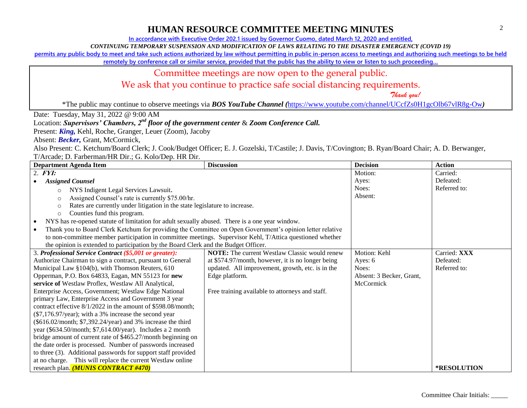**In accordance with Executive Order 202.1 issued by Governor Cuomo, dated March 12, 2020 and entitled,**

*CONTINUING TEMPORARY SUSPENSION AND MODIFICATION OF LAWS RELATING TO THE DISASTER EMERGENCY (COVID 19)*

**permits any public body to meet and take such actions authorized by law without permitting in public in-person access to meetings and authorizing such meetings to be held** 

remotely by conference call or similar service, provided that the public has the ability to view or listen to such proceeding...

#### Committee meetings are now open to the general public.

We ask that you continue to practice safe social distancing requirements.

 *Thank you!*

\*The public may continue to observe meetings via *BOS YouTube Channel (*<https://www.youtube.com/channel/UCcfZs0H1gcOlb67vlR8g-Ow>*)*

Date: Tuesday, May 31, 2022 @ 9:00 AM

#### Location: *Supervisors' Chambers, 2nd floor of the government center* & *Zoom Conference Call.*

Present: *King,* Kehl, Roche, Granger, Leuer (Zoom), Jacoby

Absent: **Becker**, Grant, McCormick,

| <b>Department Agenda Item</b>                                                                             | <b>Discussion</b>                                    | <b>Decision</b>          | <b>Action</b> |
|-----------------------------------------------------------------------------------------------------------|------------------------------------------------------|--------------------------|---------------|
| $2.$ FYI:                                                                                                 |                                                      | Motion:                  | Carried:      |
| <b>Assigned Counsel</b>                                                                                   |                                                      | Ayes:                    | Defeated:     |
| NYS Indigent Legal Services Lawsuit.<br>$\Omega$                                                          |                                                      | Noes:                    | Referred to:  |
| Assigned Counsel's rate is currently \$75.00/hr.<br>$\circ$                                               |                                                      | Absent:                  |               |
| Rates are currently under litigation in the state legislature to increase.<br>$\circ$                     |                                                      |                          |               |
| Counties fund this program.<br>$\circ$                                                                    |                                                      |                          |               |
| NYS has re-opened statute of limitation for adult sexually abused. There is a one year window.            |                                                      |                          |               |
| Thank you to Board Clerk Ketchum for providing the Committee on Open Government's opinion letter relative |                                                      |                          |               |
| to non-committee member participation in committee meetings. Supervisor Kehl, T/Attica questioned whether |                                                      |                          |               |
| the opinion is extended to participation by the Board Clerk and the Budget Officer.                       |                                                      |                          |               |
| 3. Professional Service Contract (\$5,001 or greater):                                                    | <b>NOTE:</b> The current Westlaw Classic would renew | Motion: Kehl             | Carried: XXX  |
| Authorize Chairman to sign a contract, pursuant to General                                                | at \$574.97/month, however, it is no longer being    | Ayes: 6                  | Defeated:     |
| Municipal Law §104(b), with Thomson Reuters, 610                                                          | updated. All improvement, growth, etc. is in the     | Noes:                    | Referred to:  |
| Opperman, P.O. Box 64833, Eagan, MN 55123 for new                                                         | Edge platform.                                       | Absent: 3 Becker, Grant, |               |
| service of Westlaw Proflex, Westlaw All Analytical,                                                       |                                                      | McCormick                |               |
| Enterprise Access, Government; Westlaw Edge National                                                      | Free training available to attorneys and staff.      |                          |               |
| primary Law, Enterprise Access and Government 3 year                                                      |                                                      |                          |               |
| contract effective 8/1/2022 in the amount of \$598.08/month;                                              |                                                      |                          |               |
| $(\$7,176.97/year)$ ; with a 3% increase the second year                                                  |                                                      |                          |               |
| (\$616.02/month; \$7,392.24/year) and 3% increase the third                                               |                                                      |                          |               |
| year (\$634.50/month; \$7,614.00/year). Includes a 2 month                                                |                                                      |                          |               |
| bridge amount of current rate of \$465.27/month beginning on                                              |                                                      |                          |               |
| the date order is processed. Number of passwords increased                                                |                                                      |                          |               |
| to three (3). Additional passwords for support staff provided                                             |                                                      |                          |               |
| at no charge. This will replace the current Westlaw online<br>research plan. (MUNIS CONTRACT #470)        |                                                      |                          |               |
|                                                                                                           |                                                      |                          | *RESOLUTION   |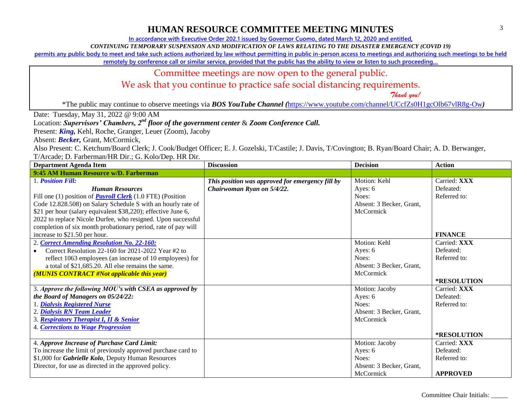**In accordance with Executive Order 202.1 issued by Governor Cuomo, dated March 12, 2020 and entitled,**

*CONTINUING TEMPORARY SUSPENSION AND MODIFICATION OF LAWS RELATING TO THE DISASTER EMERGENCY (COVID 19)*

**permits any public body to meet and take such actions authorized by law without permitting in public in-person access to meetings and authorizing such meetings to be held** 

remotely by conference call or similar service, provided that the public has the ability to view or listen to such proceeding...

#### Committee meetings are now open to the general public.

We ask that you continue to practice safe social distancing requirements.

 *Thank you!*

\*The public may continue to observe meetings via *BOS YouTube Channel (*<https://www.youtube.com/channel/UCcfZs0H1gcOlb67vlR8g-Ow>*)*

Date: Tuesday, May 31, 2022 @ 9:00 AM

#### Location: *Supervisors' Chambers, 2nd floor of the government center* & *Zoom Conference Call.*

Present: *King,* Kehl, Roche, Granger, Leuer (Zoom), Jacoby

Absent: **Becker**, Grant, McCormick,

| <b>Department Agenda Item</b>                                     | <b>Discussion</b>                                | <b>Decision</b>          | <b>Action</b>      |
|-------------------------------------------------------------------|--------------------------------------------------|--------------------------|--------------------|
| 9:45 AM Human Resource w/D. Farberman                             |                                                  |                          |                    |
| 1. Position Fill:                                                 | This position was approved for emergency fill by | Motion: Kehl             | Carried: XXX       |
| <b>Human Resources</b>                                            | Chairwoman Ryan on 5/4/22.                       | Ayes: 6                  | Defeated:          |
| Fill one (1) position of <b>Payroll Clerk</b> (1.0 FTE) (Position |                                                  | Noes:                    | Referred to:       |
| Code 12.828.508) on Salary Schedule S with an hourly rate of      |                                                  | Absent: 3 Becker, Grant, |                    |
| \$21 per hour (salary equivalent \$38,220); effective June 6,     |                                                  | McCormick                |                    |
| 2022 to replace Nicole Durfee, who resigned. Upon successful      |                                                  |                          |                    |
| completion of six month probationary period, rate of pay will     |                                                  |                          |                    |
| increase to \$21.50 per hour.                                     |                                                  |                          | <b>FINANCE</b>     |
| 2. Correct Amending Resolution No. 22-160:                        |                                                  | Motion: Kehl             | Carried: XXX       |
| Correct Resolution 22-160 for 2021-2022 Year #2 to                |                                                  | Ayes: 6                  | Defeated:          |
| reflect 1063 employees (an increase of 10 employees) for          |                                                  | Noes:                    | Referred to:       |
| a total of \$21,685.20. All else remains the same.                |                                                  | Absent: 3 Becker, Grant, |                    |
| (MUNIS CONTRACT #Not applicable this year)                        |                                                  | McCormick                |                    |
|                                                                   |                                                  |                          | <b>*RESOLUTION</b> |
| 3. Approve the following MOU's with CSEA as approved by           |                                                  | Motion: Jacoby           | Carried: XXX       |
| the Board of Managers on 05/24/22:                                |                                                  | Ayes: 6                  | Defeated:          |
| 1. Dialysis Registered Nurse                                      |                                                  | Noes:                    | Referred to:       |
| 2. Dialysis RN Team Leader                                        |                                                  | Absent: 3 Becker, Grant, |                    |
| 3. Respiratory Therapist I, II & Senior                           |                                                  | McCormick                |                    |
| 4. Corrections to Wage Progression                                |                                                  |                          |                    |
|                                                                   |                                                  |                          | *RESOLUTION        |
| 4. Approve Increase of Purchase Card Limit:                       |                                                  | Motion: Jacoby           | Carried: XXX       |
| To increase the limit of previously approved purchase card to     |                                                  | Ayes: 6                  | Defeated:          |
| \$1,000 for Gabrielle Kolo, Deputy Human Resources                |                                                  | Noes:                    | Referred to:       |
| Director, for use as directed in the approved policy.             |                                                  | Absent: 3 Becker, Grant, |                    |
|                                                                   |                                                  | McCormick                | <b>APPROVED</b>    |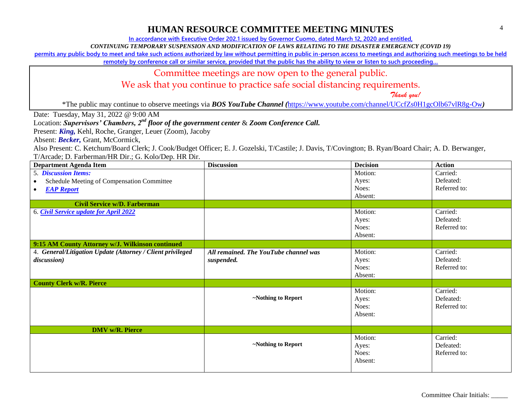**In accordance with Executive Order 202.1 issued by Governor Cuomo, dated March 12, 2020 and entitled,**

*CONTINUING TEMPORARY SUSPENSION AND MODIFICATION OF LAWS RELATING TO THE DISASTER EMERGENCY (COVID 19)*

**permits any public body to meet and take such actions authorized by law without permitting in public in-person access to meetings and authorizing such meetings to be held** 

remotely by conference call or similar service, provided that the public has the ability to view or listen to such proceeding...

#### Committee meetings are now open to the general public.

We ask that you continue to practice safe social distancing requirements.

 *Thank you!*

\*The public may continue to observe meetings via *BOS YouTube Channel (*<https://www.youtube.com/channel/UCcfZs0H1gcOlb67vlR8g-Ow>*)*

Date: Tuesday, May 31, 2022 @ 9:00 AM

#### Location: *Supervisors' Chambers, 2nd floor of the government center* & *Zoom Conference Call.*

Present: *King,* Kehl, Roche, Granger, Leuer (Zoom), Jacoby

Absent: *Becker,* Grant, McCormick,

| <b>Department Agenda Item</b>                              | <b>Discussion</b>                     | <b>Decision</b> | <b>Action</b> |
|------------------------------------------------------------|---------------------------------------|-----------------|---------------|
| 5. Discussion Items:                                       |                                       | Motion:         | Carried:      |
| Schedule Meeting of Compensation Committee                 |                                       | Ayes:           | Defeated:     |
| <b>EAP Report</b><br>$\bullet$                             |                                       | Noes:           | Referred to:  |
|                                                            |                                       | Absent:         |               |
| <b>Civil Service w/D. Farberman</b>                        |                                       |                 |               |
| 6. Civil Service update for April 2022                     |                                       | Motion:         | Carried:      |
|                                                            |                                       | Ayes:           | Defeated:     |
|                                                            |                                       | Noes:           | Referred to:  |
|                                                            |                                       | Absent:         |               |
| 9:15 AM County Attorney w/J. Wilkinson continued           |                                       |                 |               |
| 4. General/Litigation Update (Attorney / Client privileged | All remained. The YouTube channel was | Motion:         | Carried:      |
| discussion)                                                | suspended.                            | Ayes:           | Defeated:     |
|                                                            |                                       | Noes:           | Referred to:  |
|                                                            |                                       | Absent:         |               |
| <b>County Clerk w/R. Pierce</b>                            |                                       |                 |               |
|                                                            |                                       | Motion:         | Carried:      |
|                                                            | ~Nothing to Report                    | Ayes:           | Defeated:     |
|                                                            |                                       | Noes:           | Referred to:  |
|                                                            |                                       | Absent:         |               |
|                                                            |                                       |                 |               |
| <b>DMV</b> w/ <b>R</b> . Pierce                            |                                       |                 |               |
|                                                            |                                       | Motion:         | Carried:      |
|                                                            | ~Nothing to Report                    | Ayes:           | Defeated:     |
|                                                            |                                       | Noes:           | Referred to:  |
|                                                            |                                       | Absent:         |               |
|                                                            |                                       |                 |               |